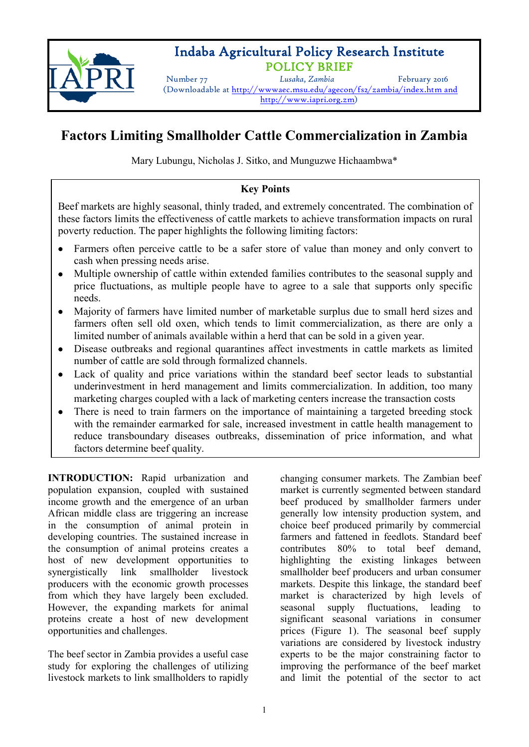

# Indaba Agricultural Policy Research Institute

POLICY BRIEF Number 77 *Lusaka, Zambia* February <sup>2016</sup> (Downloadable at http://wwwaec.msu.edu/agecon/fs2/zambia/index.htm and http://www.iapri.org.zm)

## **Factors Limiting Smallholder Cattle Commercialization in Zambia**

Mary Lubungu, Nicholas J. Sitko, and Munguzwe Hichaambwa\*

### **Key Points**

Beef markets are highly seasonal, thinly traded, and extremely concentrated. The combination of these factors limits the effectiveness of cattle markets to achieve transformation impacts on rural poverty reduction. The paper highlights the following limiting factors:

- Farmers often perceive cattle to be a safer store of value than money and only convert to cash when pressing needs arise.
- Multiple ownership of cattle within extended families contributes to the seasonal supply and price fluctuations, as multiple people have to agree to a sale that supports only specific needs.
- Majority of farmers have limited number of marketable surplus due to small herd sizes and farmers often sell old oxen, which tends to limit commercialization, as there are only a limited number of animals available within a herd that can be sold in a given year.
- Disease outbreaks and regional quarantines affect investments in cattle markets as limited number of cattle are sold through formalized channels.
- Lack of quality and price variations within the standard beef sector leads to substantial underinvestment in herd management and limits commercialization. In addition, too many marketing charges coupled with a lack of marketing centers increase the transaction costs
- There is need to train farmers on the importance of maintaining a targeted breeding stock with the remainder earmarked for sale, increased investment in cattle health management to reduce transboundary diseases outbreaks, dissemination of price information, and what factors determine beef quality.

**INTRODUCTION:** Rapid urbanization and population expansion, coupled with sustained income growth and the emergence of an urban African middle class are triggering an increase in the consumption of animal protein in developing countries. The sustained increase in the consumption of animal proteins creates a host of new development opportunities to synergistically link smallholder livestock producers with the economic growth processes from which they have largely been excluded. However, the expanding markets for animal proteins create a host of new development opportunities and challenges.

The beef sector in Zambia provides a useful case study for exploring the challenges of utilizing livestock markets to link smallholders to rapidly changing consumer markets. The Zambian beef market is currently segmented between standard beef produced by smallholder farmers under generally low intensity production system, and choice beef produced primarily by commercial farmers and fattened in feedlots. Standard beef contributes 80% to total beef demand, highlighting the existing linkages between smallholder beef producers and urban consumer markets. Despite this linkage, the standard beef market is characterized by high levels of seasonal supply fluctuations, leading to significant seasonal variations in consumer prices (Figure 1). The seasonal beef supply variations are considered by livestock industry experts to be the major constraining factor to improving the performance of the beef market and limit the potential of the sector to act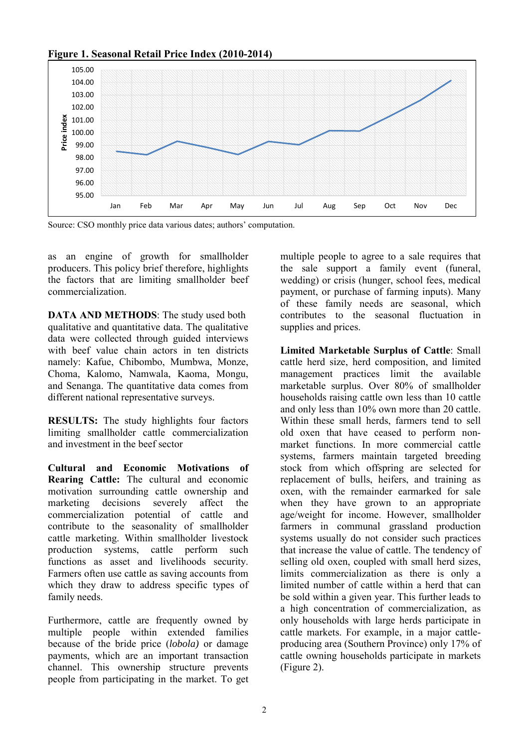105.00 104.00 103.00 102.00 Price index **Price index**101.00 100.00 99.00 98.00 97.00 96.00 95.00 Jan Feb Mar Apr May Jun Jul Aug Sep Oct Nov Dec

#### **Figure 1. Seasonal Retail Price Index (2010-2014)**

Source: CSO monthly price data various dates; authors' computation.

as an engine of growth for smallholder producers. This policy brief therefore, highlights the factors that are limiting smallholder beef commercialization.

**DATA AND METHODS**: The study used both qualitative and quantitative data. The qualitative data were collected through guided interviews with beef value chain actors in ten districts namely: Kafue, Chibombo, Mumbwa, Monze, Choma, Kalomo, Namwala, Kaoma, Mongu, and Senanga. The quantitative data comes from different national representative surveys.

**RESULTS:** The study highlights four factors limiting smallholder cattle commercialization and investment in the beef sector

**Cultural and Economic Motivations of Rearing Cattle:** The cultural and economic motivation surrounding cattle ownership and marketing decisions severely affect the commercialization potential of cattle and contribute to the seasonality of smallholder cattle marketing. Within smallholder livestock production systems, cattle perform such functions as asset and livelihoods security. Farmers often use cattle as saving accounts from which they draw to address specific types of family needs.

Furthermore, cattle are frequently owned by multiple people within extended families because of the bride price (*lobola)* or damage payments, which are an important transaction channel. This ownership structure prevents people from participating in the market. To get multiple people to agree to a sale requires that the sale support a family event (funeral, wedding) or crisis (hunger, school fees, medical payment, or purchase of farming inputs). Many of these family needs are seasonal, which contributes to the seasonal fluctuation in supplies and prices.

**Limited Marketable Surplus of Cattle**: Small cattle herd size, herd composition, and limited management practices limit the available marketable surplus. Over 80% of smallholder households raising cattle own less than 10 cattle and only less than 10% own more than 20 cattle. Within these small herds, farmers tend to sell old oxen that have ceased to perform nonmarket functions. In more commercial cattle systems, farmers maintain targeted breeding stock from which offspring are selected for replacement of bulls, heifers, and training as oxen, with the remainder earmarked for sale when they have grown to an appropriate age/weight for income. However, smallholder farmers in communal grassland production systems usually do not consider such practices that increase the value of cattle. The tendency of selling old oxen, coupled with small herd sizes, limits commercialization as there is only a limited number of cattle within a herd that can be sold within a given year. This further leads to a high concentration of commercialization, as only households with large herds participate in cattle markets. For example, in a major cattleproducing area (Southern Province) only 17% of cattle owning households participate in markets (Figure 2).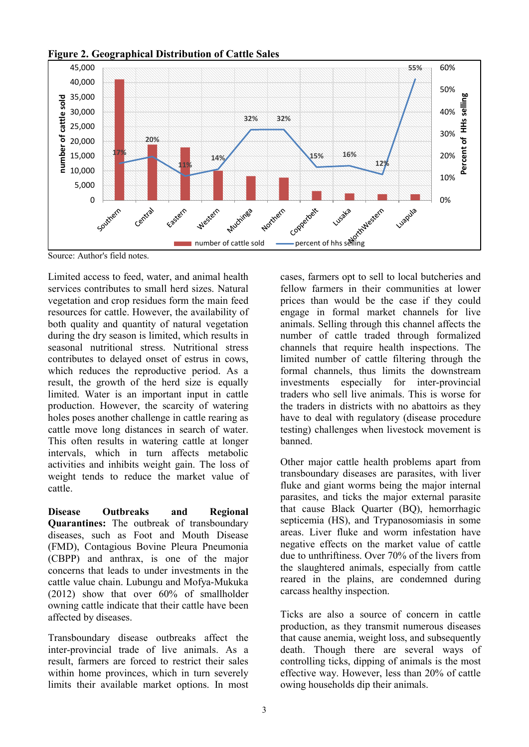

**Figure 2. Geographical Distribution of Cattle Sales** 

Source: Author's field notes.

Limited access to feed, water, and animal health services contributes to small herd sizes. Natural vegetation and crop residues form the main feed resources for cattle. However, the availability of both quality and quantity of natural vegetation during the dry season is limited, which results in seasonal nutritional stress. Nutritional stress contributes to delayed onset of estrus in cows, which reduces the reproductive period. As a result, the growth of the herd size is equally limited. Water is an important input in cattle production. However, the scarcity of watering holes poses another challenge in cattle rearing as cattle move long distances in search of water. This often results in watering cattle at longer intervals, which in turn affects metabolic activities and inhibits weight gain. The loss of weight tends to reduce the market value of cattle.

**Disease Outbreaks and Regional Quarantines:** The outbreak of transboundary diseases, such as Foot and Mouth Disease (FMD), Contagious Bovine Pleura Pneumonia (CBPP) and anthrax, is one of the major concerns that leads to under investments in the cattle value chain. Lubungu and Mofya-Mukuka (2012) show that over 60% of smallholder owning cattle indicate that their cattle have been affected by diseases.

Transboundary disease outbreaks affect the inter-provincial trade of live animals. As a result, farmers are forced to restrict their sales within home provinces, which in turn severely limits their available market options. In most cases, farmers opt to sell to local butcheries and fellow farmers in their communities at lower prices than would be the case if they could engage in formal market channels for live animals. Selling through this channel affects the number of cattle traded through formalized channels that require health inspections. The limited number of cattle filtering through the formal channels, thus limits the downstream investments especially for inter-provincial traders who sell live animals. This is worse for the traders in districts with no abattoirs as they have to deal with regulatory (disease procedure testing) challenges when livestock movement is banned.

Other major cattle health problems apart from transboundary diseases are parasites, with liver fluke and giant worms being the major internal parasites, and ticks the major external parasite that cause Black Quarter (BQ), hemorrhagic septicemia (HS), and Trypanosomiasis in some areas. Liver fluke and worm infestation have negative effects on the market value of cattle due to unthriftiness. Over 70% of the livers from the slaughtered animals, especially from cattle reared in the plains, are condemned during carcass healthy inspection.

Ticks are also a source of concern in cattle production, as they transmit numerous diseases that cause anemia, weight loss, and subsequently death. Though there are several ways of controlling ticks, dipping of animals is the most effective way. However, less than 20% of cattle owing households dip their animals.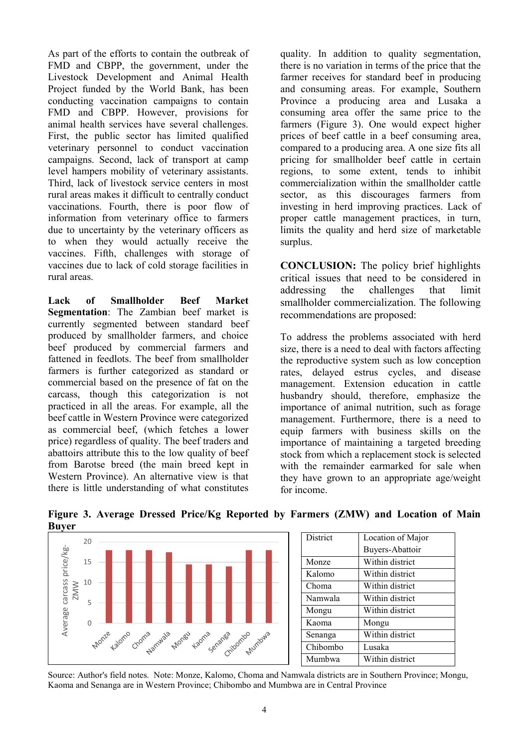As part of the efforts to contain the outbreak of FMD and CBPP, the government, under the Livestock Development and Animal Health Project funded by the World Bank, has been conducting vaccination campaigns to contain FMD and CBPP. However, provisions for animal health services have several challenges. First, the public sector has limited qualified veterinary personnel to conduct vaccination campaigns. Second, lack of transport at camp level hampers mobility of veterinary assistants. Third, lack of livestock service centers in most rural areas makes it difficult to centrally conduct vaccinations. Fourth, there is poor flow of information from veterinary office to farmers due to uncertainty by the veterinary officers as to when they would actually receive the vaccines. Fifth, challenges with storage of vaccines due to lack of cold storage facilities in rural areas.

**Lack of Smallholder Beef Market Segmentation**: The Zambian beef market is currently segmented between standard beef produced by smallholder farmers, and choice beef produced by commercial farmers and fattened in feedlots. The beef from smallholder farmers is further categorized as standard or commercial based on the presence of fat on the carcass, though this categorization is not practiced in all the areas. For example, all the beef cattle in Western Province were categorized as commercial beef, (which fetches a lower price) regardless of quality. The beef traders and abattoirs attribute this to the low quality of beef from Barotse breed (the main breed kept in Western Province). An alternative view is that there is little understanding of what constitutes

quality. In addition to quality segmentation, there is no variation in terms of the price that the farmer receives for standard beef in producing and consuming areas. For example, Southern Province a producing area and Lusaka a consuming area offer the same price to the farmers (Figure 3). One would expect higher prices of beef cattle in a beef consuming area, compared to a producing area. A one size fits all pricing for smallholder beef cattle in certain regions, to some extent, tends to inhibit commercialization within the smallholder cattle sector, as this discourages farmers from investing in herd improving practices. Lack of proper cattle management practices, in turn, limits the quality and herd size of marketable surplus.

**CONCLUSION:** The policy brief highlights critical issues that need to be considered in addressing the challenges that limit smallholder commercialization. The following recommendations are proposed:

To address the problems associated with herd size, there is a need to deal with factors affecting the reproductive system such as low conception rates, delayed estrus cycles, and disease management. Extension education in cattle husbandry should, therefore, emphasize the importance of animal nutrition, such as forage management. Furthermore, there is a need to equip farmers with business skills on the importance of maintaining a targeted breeding stock from which a replacement stock is selected with the remainder earmarked for sale when they have grown to an appropriate age/weight for income.



| <b>District</b><br>Location of Major<br>Buyers-Abattoir<br>Within district<br>Monze<br>Within district<br>Kalomo<br>Within district<br>Choma<br>Within district<br>Namwala<br>Within district<br>Mongu<br>Kaoma<br>Mongu<br>Within district<br>Senanga<br>Chibombo<br>Lusaka<br>Within district<br>Mumbwa |  |  |
|-----------------------------------------------------------------------------------------------------------------------------------------------------------------------------------------------------------------------------------------------------------------------------------------------------------|--|--|
|                                                                                                                                                                                                                                                                                                           |  |  |
|                                                                                                                                                                                                                                                                                                           |  |  |
|                                                                                                                                                                                                                                                                                                           |  |  |
|                                                                                                                                                                                                                                                                                                           |  |  |
|                                                                                                                                                                                                                                                                                                           |  |  |
|                                                                                                                                                                                                                                                                                                           |  |  |
|                                                                                                                                                                                                                                                                                                           |  |  |
|                                                                                                                                                                                                                                                                                                           |  |  |
|                                                                                                                                                                                                                                                                                                           |  |  |
|                                                                                                                                                                                                                                                                                                           |  |  |
|                                                                                                                                                                                                                                                                                                           |  |  |

#### **Figure 3. Average Dressed Price/Kg Reported by Farmers (ZMW) and Location of Main Buyer**

Source: Author's field notes. Note: Monze, Kalomo, Choma and Namwala districts are in Southern Province; Mongu, Kaoma and Senanga are in Western Province; Chibombo and Mumbwa are in Central Province